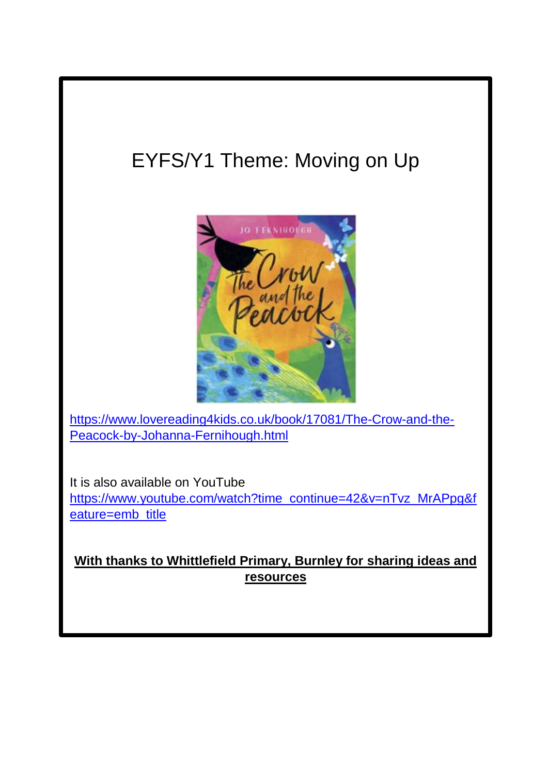# EYFS/Y1 Theme: Moving on Up



[https://www.lovereading4kids.co.uk/book/17081/The-Crow-and-the-](https://www.lovereading4kids.co.uk/book/17081/The-Crow-and-the-Peacock-by-Johanna-Fernihough.html)[Peacock-by-Johanna-Fernihough.html](https://www.lovereading4kids.co.uk/book/17081/The-Crow-and-the-Peacock-by-Johanna-Fernihough.html)

It is also available on YouTube [https://www.youtube.com/watch?time\\_continue=42&v=nTvz\\_MrAPpg&f](https://www.youtube.com/watch?time_continue=42&v=nTvz_MrAPpg&feature=emb_title) [eature=emb\\_title](https://www.youtube.com/watch?time_continue=42&v=nTvz_MrAPpg&feature=emb_title)

**With thanks to Whittlefield Primary, Burnley for sharing ideas and resources**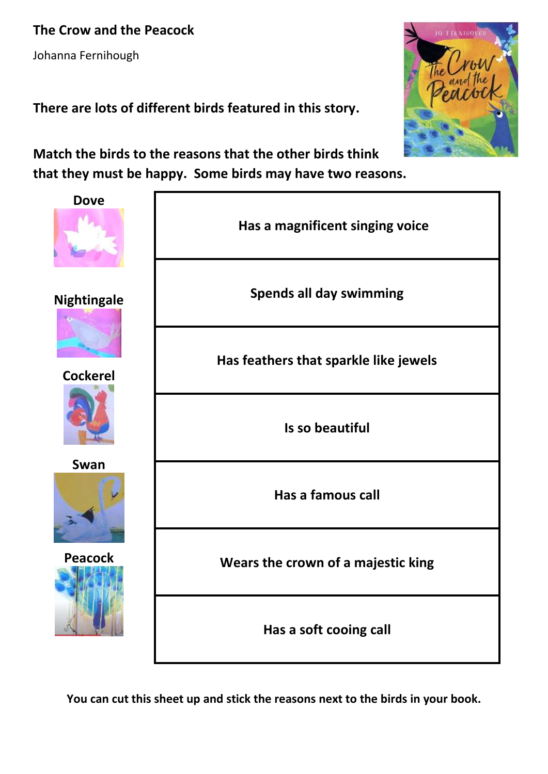**The Crow and the Peacock**

Johanna Fernihough

**There are lots of different birds featured in this story.**



**Match the birds to the reasons that the other birds think that they must be happy. Some birds may have two reasons.**

| <b>Dove</b>                           |                                       |  |
|---------------------------------------|---------------------------------------|--|
|                                       | Has a magnificent singing voice       |  |
| <b>Nightingale</b><br><b>Cockerel</b> | <b>Spends all day swimming</b>        |  |
|                                       | Has feathers that sparkle like jewels |  |
|                                       | Is so beautiful                       |  |
| Swan                                  | Has a famous call                     |  |
| <b>Peacock</b>                        | Wears the crown of a majestic king    |  |
|                                       | Has a soft cooing call                |  |

**You can cut this sheet up and stick the reasons next to the birds in your book.**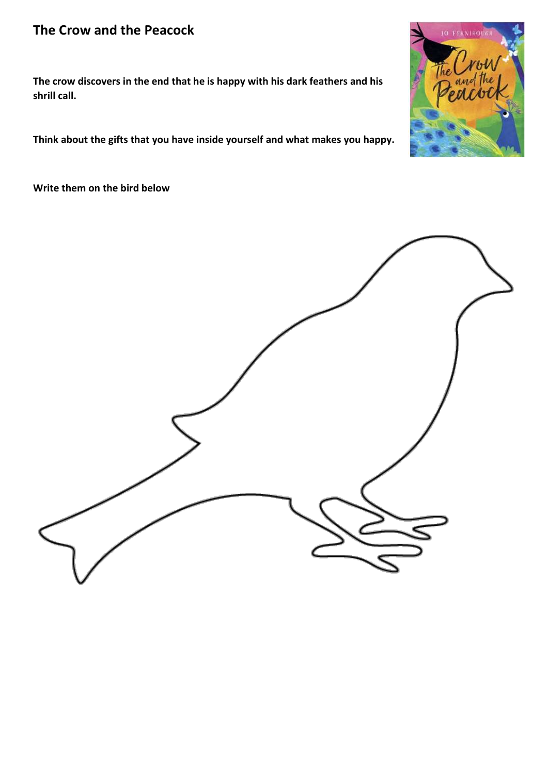#### **The Crow and the Peacock**

**The crow discovers in the end that he is happy with his dark feathers and his shrill call.**

**Think about the gifts that you have inside yourself and what makes you happy.**

**Write them on the bird below**



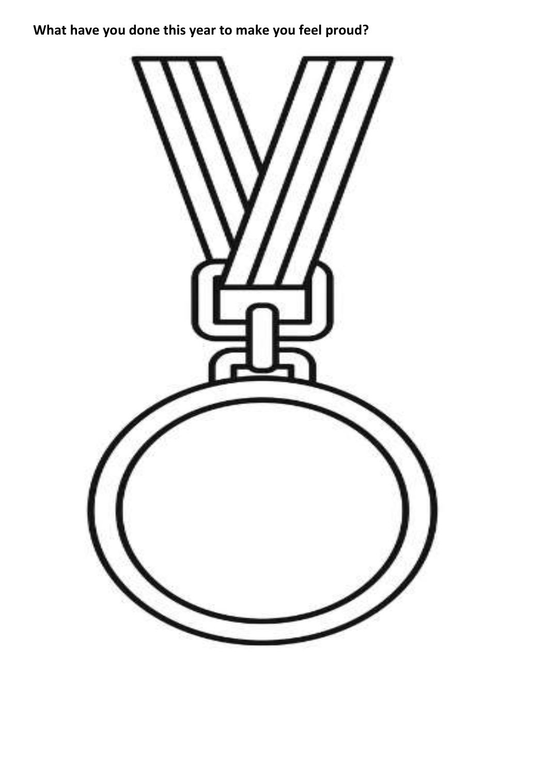## **What have you done this year to make you feel proud?**

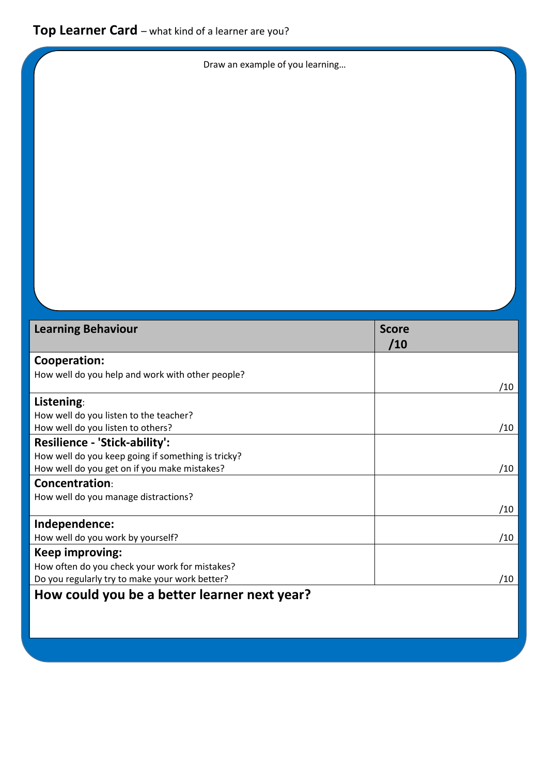Draw an example of you learning…

| <b>Learning Behaviour</b>                          | <b>Score</b><br>/10 |
|----------------------------------------------------|---------------------|
|                                                    |                     |
| Cooperation:                                       |                     |
| How well do you help and work with other people?   |                     |
|                                                    | /10                 |
| Listening:                                         |                     |
| How well do you listen to the teacher?             |                     |
| How well do you listen to others?                  | /10                 |
| <b>Resilience - 'Stick-ability':</b>               |                     |
| How well do you keep going if something is tricky? |                     |
| How well do you get on if you make mistakes?       | /10                 |
| <b>Concentration:</b>                              |                     |
| How well do you manage distractions?               |                     |
|                                                    | /10                 |
| Independence:                                      |                     |
| How well do you work by yourself?                  | /10                 |
| Keep improving:                                    |                     |
| How often do you check your work for mistakes?     |                     |
| Do you regularly try to make your work better?     | /10                 |
| How could you be a better learner next year?       |                     |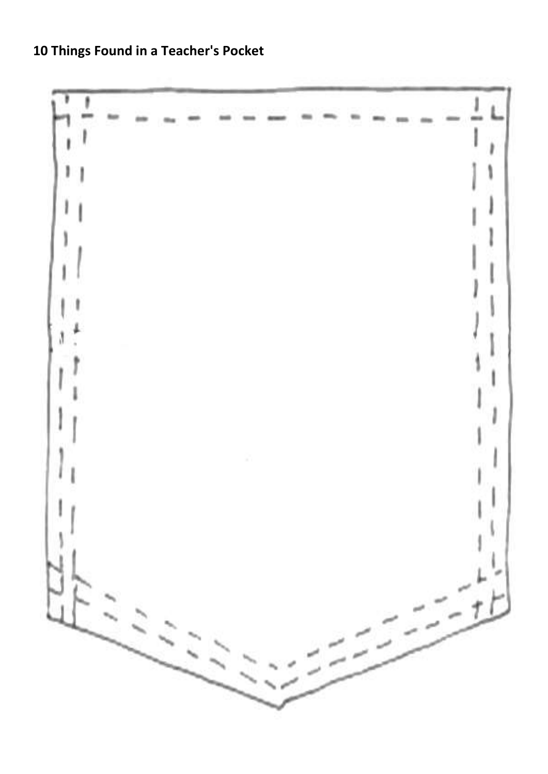**10 Things Found in a Teacher's Pocket** 

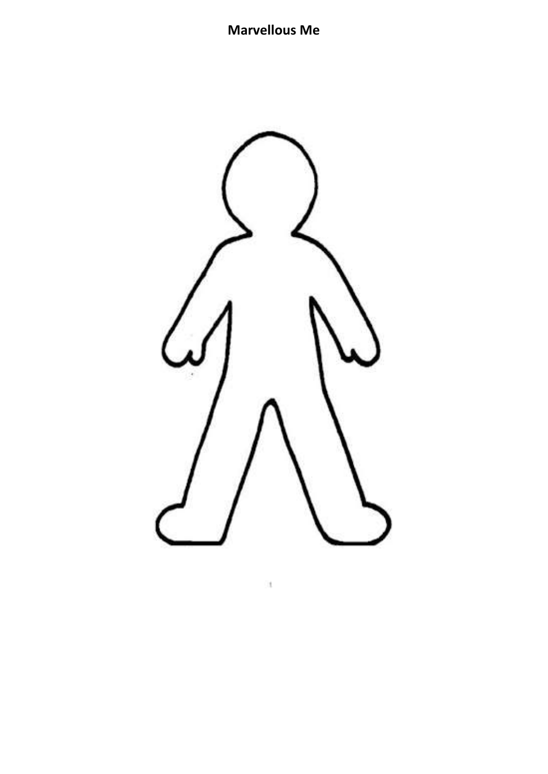## **Marvellous Me**



lt.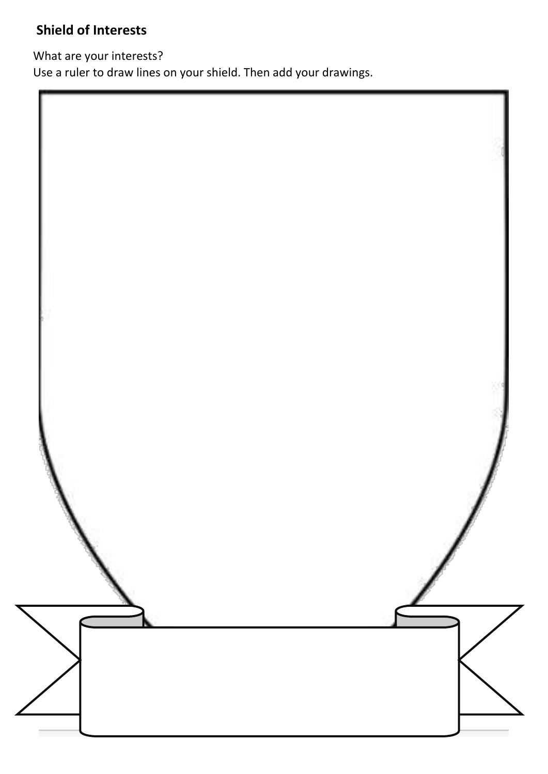## **Shield of Interests**

What are your interests?

Use a ruler to draw lines on your shield. Then add your drawings.